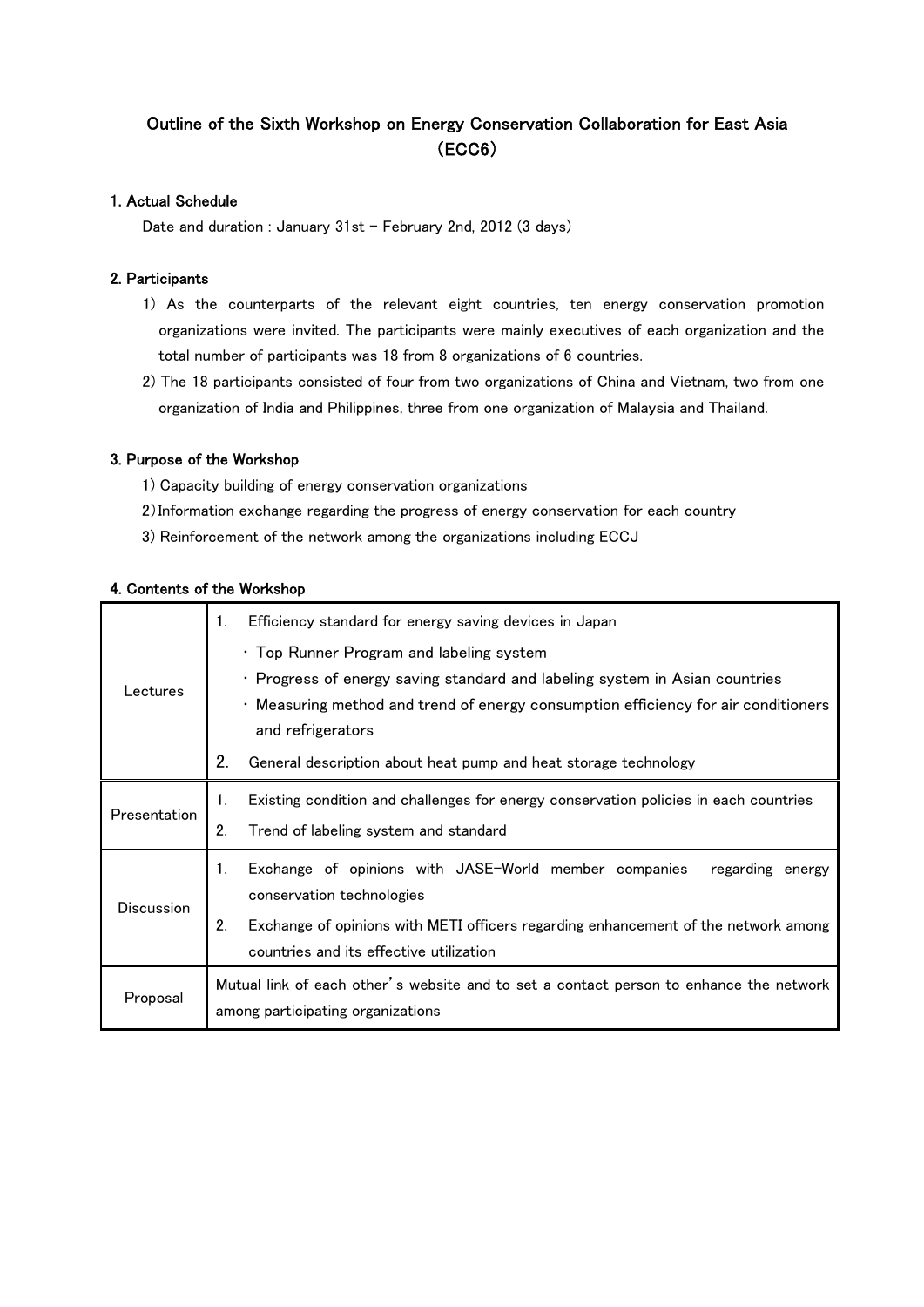# Outline of the Sixth Workshop on Energy Conservation Collaboration for East Asia (ECC6)

#### 1. Actual Schedule

Date and duration : January 31st - February 2nd, 2012 (3 days)

#### 2. Participants

- 1) As the counterparts of the relevant eight countries, ten energy conservation promotion organizations were invited. The participants were mainly executives of each organization and the total number of participants was 18 from 8 organizations of 6 countries.
- 2) The 18 participants consisted of four from two organizations of China and Vietnam, two from one organization of India and Philippines, three from one organization of Malaysia and Thailand.

#### 3. Purpose of the Workshop

- 1) Capacity building of energy conservation organizations
- 2)Information exchange regarding the progress of energy conservation for each country
- 3) Reinforcement of the network among the organizations including ECCJ

|              | 1.<br>Efficiency standard for energy saving devices in Japan                                                                                                                                                                       |  |  |  |  |
|--------------|------------------------------------------------------------------------------------------------------------------------------------------------------------------------------------------------------------------------------------|--|--|--|--|
| Lectures     | • Top Runner Program and labeling system<br>• Progress of energy saving standard and labeling system in Asian countries<br>. Measuring method and trend of energy consumption efficiency for air conditioners<br>and refrigerators |  |  |  |  |
|              | 2.<br>General description about heat pump and heat storage technology                                                                                                                                                              |  |  |  |  |
| Presentation | Existing condition and challenges for energy conservation policies in each countries<br>1.                                                                                                                                         |  |  |  |  |
|              | 2.<br>Trend of labeling system and standard                                                                                                                                                                                        |  |  |  |  |
| Discussion   | Exchange of opinions with JASE-World member companies<br>1.<br>regarding energy<br>conservation technologies                                                                                                                       |  |  |  |  |
|              | 2.<br>Exchange of opinions with METI officers regarding enhancement of the network among<br>countries and its effective utilization                                                                                                |  |  |  |  |
| Proposal     | Mutual link of each other's website and to set a contact person to enhance the network                                                                                                                                             |  |  |  |  |
|              | among participating organizations                                                                                                                                                                                                  |  |  |  |  |

#### 4. Contents of the Workshop